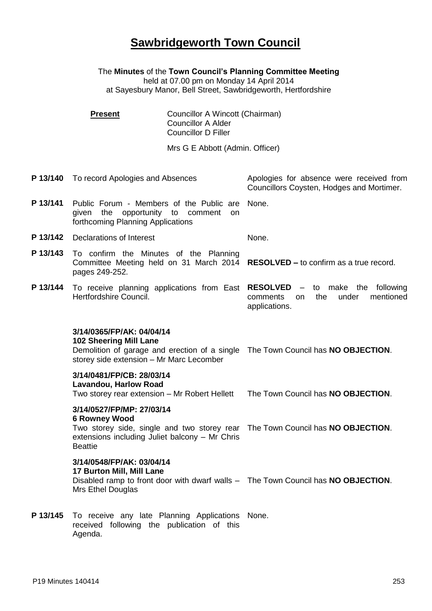## **Sawbridgeworth Town Council**

The **Minutes** of the **Town Council's Planning Committee Meeting**

held at 07.00 pm on Monday 14 April 2014 at Sayesbury Manor, Bell Street, Sawbridgeworth, Hertfordshire

| <b>Present</b> | Councillor A Wincott (Chairman) |
|----------------|---------------------------------|
|                | <b>Councillor A Alder</b>       |
|                | Councillor D Filler             |

Mrs G E Abbott (Admin. Officer)

**P 13/140** To record Apologies and Absences Apologies for absence were received from Councillors Coysten, Hodges and Mortimer. **P 13/141** Public Forum - Members of the Public are None. given the opportunity to comment on forthcoming Planning Applications **P 13/142** Declarations of Interest None. **P 13/143** To confirm the Minutes of the Planning Committee Meeting held on 31 March 2014 **RESOLVED –** to confirm as a true record. pages 249-252. **P 13/144** To receive planning applications from East **RESOLVED** – to make the following Hertfordshire Council. comments on the under mentioned applications. **3/14/0365/FP/AK: 04/04/14 102 Sheering Mill Lane** Demolition of garage and erection of a single The Town Council has **NO OBJECTION**. storey side extension – Mr Marc Lecomber **3/14/0481/FP/CB: 28/03/14 Lavandou, Harlow Road**  Two storey rear extension – Mr Robert Hellett The Town Council has **NO OBJECTION**. **3/14/0527/FP/MP: 27/03/14 6 Rowney Wood** Two storey side, single and two storey rear The Town Council has **NO OBJECTION**. extensions including Juliet balcony – Mr Chris **Beattie 3/14/0548/FP/AK: 03/04/14 17 Burton Mill, Mill Lane** Disabled ramp to front door with dwarf walls – The Town Council has **NO OBJECTION**. Mrs Ethel Douglas **P 13/145** To receive any late Planning Applications None. received following the publication of this

Agenda.